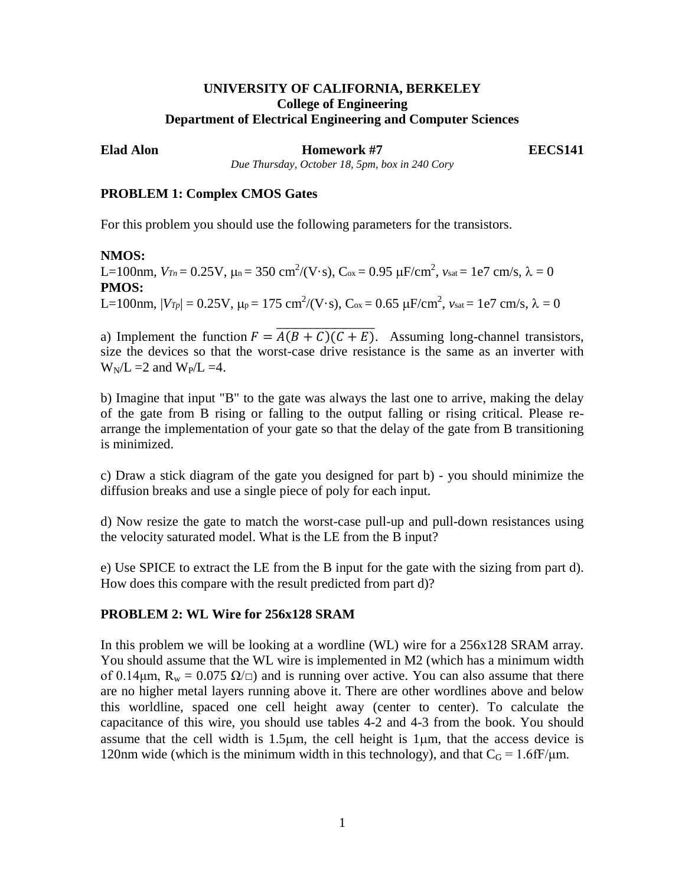# **UNIVERSITY OF CALIFORNIA, BERKELEY College of Engineering Department of Electrical Engineering and Computer Sciences**

**Elad Alon Homework #7 EECS141** 

*Due Thursday, October 18, 5pm, box in 240 Cory*

## **PROBLEM 1: Complex CMOS Gates**

For this problem you should use the following parameters for the transistors.

## **NMOS:**

L=100nm,  $V_{Tn} = 0.25$ V,  $\mu$ <sub>n</sub> = 350 cm<sup>2</sup>/(V·s), C<sub>ox</sub> = 0.95  $\mu$ F/cm<sup>2</sup>,  $v_{sat}$  = 1e7 cm/s,  $\lambda$  = 0 **PMOS:** L=100nm,  $|V_{Tp}| = 0.25$ V,  $\mu_{\rm P} = 175$  cm<sup>2</sup>/(V·s), C<sub>ox</sub> = 0.65 μF/cm<sup>2</sup>,  $v_{\rm sat}$  = 1e7 cm/s, λ = 0

a) Implement the function  $F = \overline{A(B+C)(C+E)}$ . Assuming long-channel transistors, size the devices so that the worst-case drive resistance is the same as an inverter with  $W_N/L = 2$  and  $W_P/L = 4$ .

b) Imagine that input "B" to the gate was always the last one to arrive, making the delay of the gate from B rising or falling to the output falling or rising critical. Please rearrange the implementation of your gate so that the delay of the gate from B transitioning is minimized.

c) Draw a stick diagram of the gate you designed for part b) - you should minimize the diffusion breaks and use a single piece of poly for each input.

d) Now resize the gate to match the worst-case pull-up and pull-down resistances using the velocity saturated model. What is the LE from the B input?

e) Use SPICE to extract the LE from the B input for the gate with the sizing from part d). How does this compare with the result predicted from part d)?

## **PROBLEM 2: WL Wire for 256x128 SRAM**

In this problem we will be looking at a wordline (WL) wire for a 256x128 SRAM array. You should assume that the WL wire is implemented in M2 (which has a minimum width of 0.14 $\mu$ m, R<sub>w</sub> = 0.075  $\Omega/\Box$ ) and is running over active. You can also assume that there are no higher metal layers running above it. There are other wordlines above and below this worldline, spaced one cell height away (center to center). To calculate the capacitance of this wire, you should use tables 4-2 and 4-3 from the book. You should assume that the cell width is 1.5µm, the cell height is 1µm, that the access device is 120nm wide (which is the minimum width in this technology), and that  $C_G = 1.6$  fF/ $\mu$ m.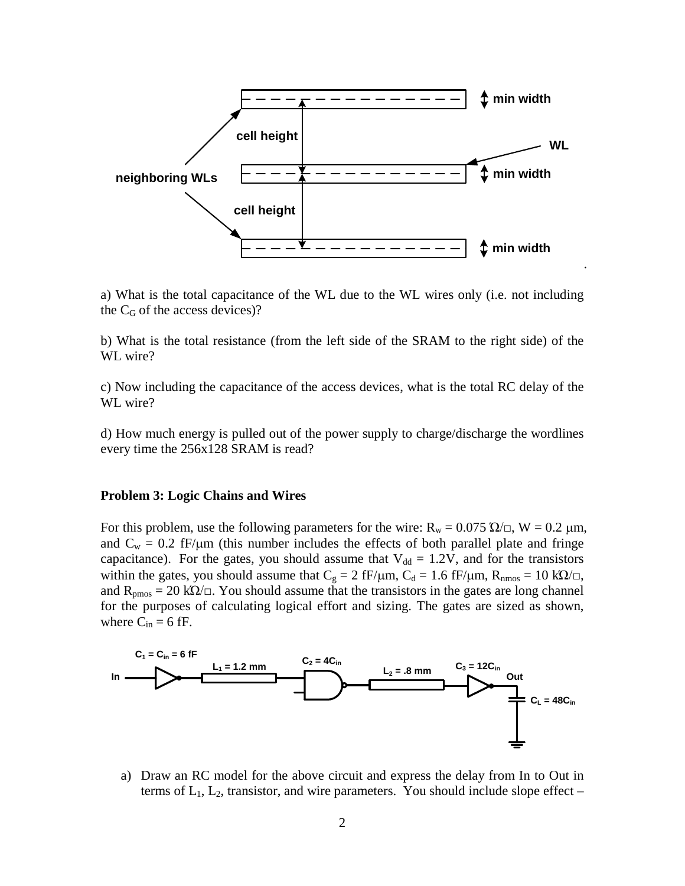

a) What is the total capacitance of the WL due to the WL wires only (i.e. not including the  $C_G$  of the access devices)?

b) What is the total resistance (from the left side of the SRAM to the right side) of the WL wire?

c) Now including the capacitance of the access devices, what is the total RC delay of the WL wire?

d) How much energy is pulled out of the power supply to charge/discharge the wordlines every time the 256x128 SRAM is read?

#### **Problem 3: Logic Chains and Wires**

For this problem, use the following parameters for the wire:  $R_w = 0.075 \Omega / \Omega$ , W = 0.2  $\mu$ m, and  $C_w = 0.2$  fF/ $\mu$ m (this number includes the effects of both parallel plate and fringe capacitance). For the gates, you should assume that  $V_{dd} = 1.2V$ , and for the transistors within the gates, you should assume that  $C_g = 2$  fF/ $\mu$ m,  $C_d = 1.6$  fF/ $\mu$ m,  $R_{nnos} = 10$  k $\Omega/\Box$ , and  $R_{pmos} = 20 \text{ k}\Omega/\square$ . You should assume that the transistors in the gates are long channel for the purposes of calculating logical effort and sizing. The gates are sized as shown, where  $C_{in} = 6$  fF.



a) Draw an RC model for the above circuit and express the delay from In to Out in terms of  $L_1$ ,  $L_2$ , transistor, and wire parameters. You should include slope effect –